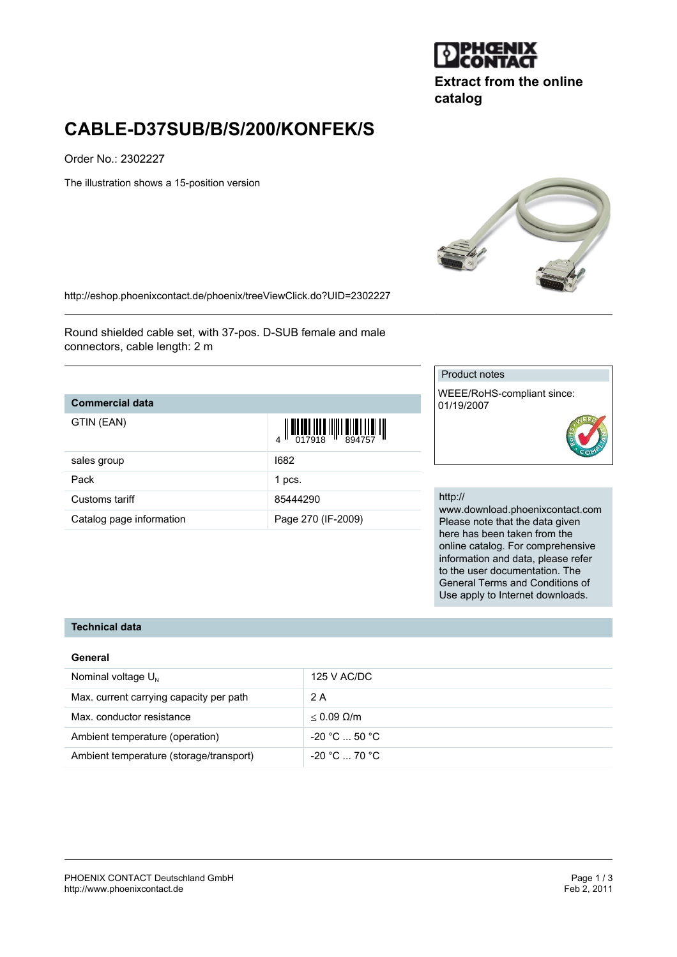

**Extract from the online catalog**

# **CABLE-D37SUB/B/S/200/KONFEK/S**

Order No.: 2302227

The illustration shows a 15-position version



<http://eshop.phoenixcontact.de/phoenix/treeViewClick.do?UID=2302227>

Round shielded cable set, with 37-pos. D-SUB female and male connectors, cable length: 2 m

### **Commercial data**

| GTIN (EAN)               | $\begin{array}{c} \begin{array}{c} \begin{array}{c} \end{array} \\ \begin{array}{c} \end{array} \\ \begin{array}{c} \end{array} \\ \begin{array}{c} \end{array} \\ \begin{array}{c} \end{array} \\ \begin{array}{c} \end{array} \\ \begin{array}{c} \end{array} \\ \begin{array}{c} \end{array} \\ \begin{array}{c} \end{array} \\ \begin{array}{c} \end{array} \\ \begin{array}{c} \end{array} \\ \begin{array}{c} \end{array} \\ \begin{array}{c} \end{array} \\ \begin{array}{c} \end{array} \\ \begin{array}{c} \end{array} \\ \begin{array}{c} \end{array$ |
|--------------------------|-----------------------------------------------------------------------------------------------------------------------------------------------------------------------------------------------------------------------------------------------------------------------------------------------------------------------------------------------------------------------------------------------------------------------------------------------------------------------------------------------------------------------------------------------------------------|
| sales group              | 1682                                                                                                                                                                                                                                                                                                                                                                                                                                                                                                                                                            |
| Pack                     | 1 pcs.                                                                                                                                                                                                                                                                                                                                                                                                                                                                                                                                                          |
| Customs tariff           | 85444290                                                                                                                                                                                                                                                                                                                                                                                                                                                                                                                                                        |
| Catalog page information | Page 270 (IF-2009)                                                                                                                                                                                                                                                                                                                                                                                                                                                                                                                                              |

#### Product notes

WEEE/RoHS-compliant since: 01/19/2007

#### http://

www.download.phoenixcontact.com Please note that the data given here has been taken from the online catalog. For comprehensive information and data, please refer to the user documentation. The General Terms and Conditions of Use apply to Internet downloads.

## **Technical data**

#### **General**

| Nominal voltage $U_N$                   | 125 V AC/DC                   |
|-----------------------------------------|-------------------------------|
| Max. current carrying capacity per path | 2 A                           |
| Max. conductor resistance               | $< 0.09$ Q/m                  |
| Ambient temperature (operation)         | $-20 °C  50 °C$               |
| Ambient temperature (storage/transport) | $-20\degree$ C $-70\degree$ C |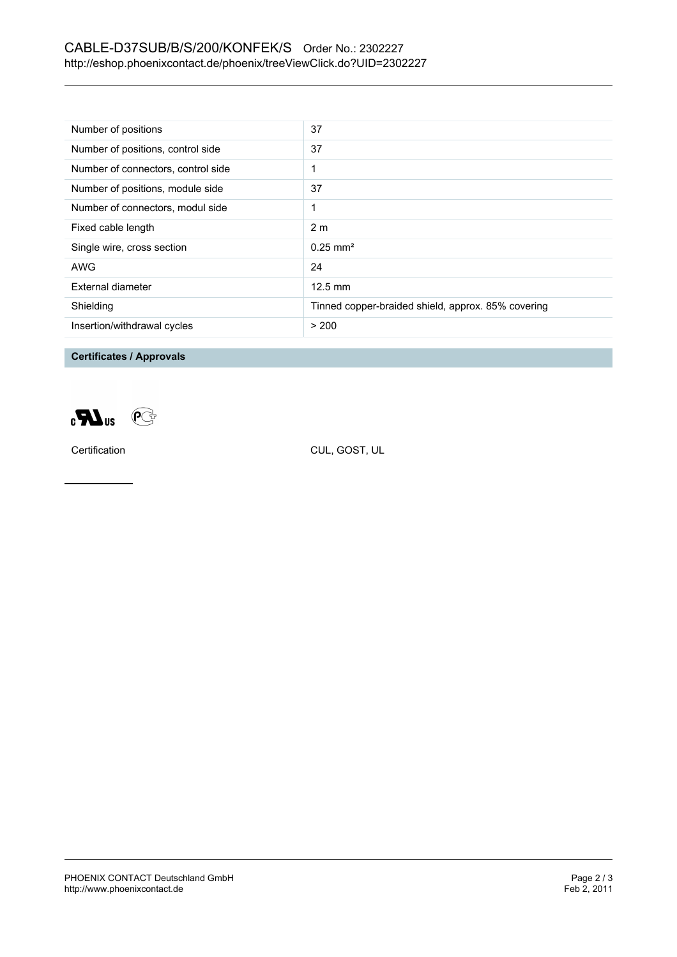## CABLE-D37SUB/B/S/200/KONFEK/S Order No.: 2302227 <http://eshop.phoenixcontact.de/phoenix/treeViewClick.do?UID=2302227>

| Number of positions                | 37                                                 |
|------------------------------------|----------------------------------------------------|
| Number of positions, control side  | 37                                                 |
| Number of connectors, control side |                                                    |
| Number of positions, module side   | 37                                                 |
| Number of connectors, modul side   | 1                                                  |
| Fixed cable length                 | 2 <sub>m</sub>                                     |
| Single wire, cross section         | $0.25 \text{ mm}^2$                                |
| AWG                                | 24                                                 |
| External diameter                  | $12.5 \text{ mm}$                                  |
| Shielding                          | Tinned copper-braided shield, approx. 85% covering |
| Insertion/withdrawal cycles        | > 200                                              |

**Certificates / Approvals**



Certification CUL, GOST, UL